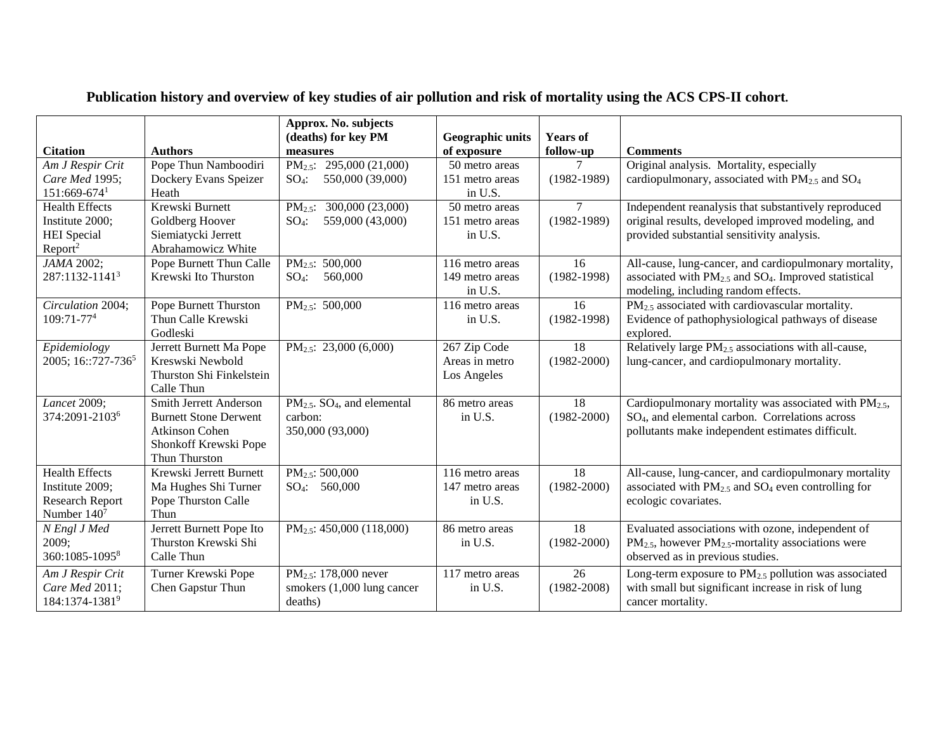| <b>Citation</b>                                                                       | <b>Authors</b>                                                                                                            | Approx. No. subjects<br>(deaths) for key PM<br>measures                  | <b>Geographic units</b><br>of exposure        | <b>Years of</b><br>follow-up       | <b>Comments</b>                                                                                                                                                                      |
|---------------------------------------------------------------------------------------|---------------------------------------------------------------------------------------------------------------------------|--------------------------------------------------------------------------|-----------------------------------------------|------------------------------------|--------------------------------------------------------------------------------------------------------------------------------------------------------------------------------------|
| Am J Respir Crit<br>Care Med 1995;<br>151:669-6741                                    | Pope Thun Namboodiri<br>Dockery Evans Speizer<br>Heath                                                                    | PM <sub>2.5</sub> : 295,000 (21,000)<br>550,000 (39,000)<br>$SO_4$ :     | 50 metro areas<br>151 metro areas<br>in U.S.  | $\tau$<br>$(1982 - 1989)$          | Original analysis. Mortality, especially<br>cardiopulmonary, associated with $PM_{2.5}$ and $SO_4$                                                                                   |
| <b>Health Effects</b><br>Institute 2000;<br><b>HEI</b> Special<br>Report <sup>2</sup> | Krewski Burnett<br>Goldberg Hoover<br>Siemiatycki Jerrett<br>Abrahamowicz White                                           | 300,000 (23,000)<br>$PM2.5$ :<br>559,000 (43,000)<br>$SO4$ :             | 50 metro areas<br>151 metro areas<br>in U.S.  | $\tau$<br>$(1982 - 1989)$          | Independent reanalysis that substantively reproduced<br>original results, developed improved modeling, and<br>provided substantial sensitivity analysis.                             |
| <b>JAMA 2002:</b><br>287:1132-11413                                                   | Pope Burnett Thun Calle<br>Krewski Ito Thurston                                                                           | PM <sub>2.5</sub> : 500,000<br>560,000<br>$SO_4$ :                       | 116 metro areas<br>149 metro areas<br>in U.S. | 16<br>$(1982 - 1998)$              | All-cause, lung-cancer, and cardiopulmonary mortality,<br>associated with PM <sub>2.5</sub> and SO <sub>4</sub> . Improved statistical<br>modeling, including random effects.        |
| Circulation 2004;<br>109:71-774                                                       | Pope Burnett Thurston<br>Thun Calle Krewski<br>Godleski                                                                   | $PM_{2.5}$ : 500,000                                                     | 116 metro areas<br>in U.S.                    | 16<br>$(1982 - 1998)$              | $PM_{2.5}$ associated with cardiovascular mortality.<br>Evidence of pathophysiological pathways of disease<br>explored.                                                              |
| Epidemiology<br>2005; 16::727-736 <sup>5</sup>                                        | Jerrett Burnett Ma Pope<br>Kreswski Newbold<br>Thurston Shi Finkelstein<br>Calle Thun                                     | PM <sub>2.5</sub> : 23,000 (6,000)                                       | 267 Zip Code<br>Areas in metro<br>Los Angeles | $\overline{18}$<br>$(1982 - 2000)$ | Relatively large PM <sub>2.5</sub> associations with all-cause,<br>lung-cancer, and cardiopulmonary mortality.                                                                       |
| Lancet 2009;<br>374:2091-21036                                                        | <b>Smith Jerrett Anderson</b><br><b>Burnett Stone Derwent</b><br>Atkinson Cohen<br>Shonkoff Krewski Pope<br>Thun Thurston | $PM2.5$ . SO <sub>4</sub> , and elemental<br>carbon:<br>350,000 (93,000) | 86 metro areas<br>in U.S.                     | 18<br>$(1982 - 2000)$              | Cardiopulmonary mortality was associated with PM <sub>2.5</sub> ,<br>SO <sub>4</sub> , and elemental carbon. Correlations across<br>pollutants make independent estimates difficult. |
| <b>Health Effects</b><br>Institute 2009;<br><b>Research Report</b><br>Number $1407$   | Krewski Jerrett Burnett<br>Ma Hughes Shi Turner<br>Pope Thurston Calle<br>Thun                                            | $PM_{2.5}: 500,000$<br>$SO_4$ : 560,000                                  | 116 metro areas<br>147 metro areas<br>in U.S. | 18<br>$(1982 - 2000)$              | All-cause, lung-cancer, and cardiopulmonary mortality<br>associated with $PM2.5$ and $SO4$ even controlling for<br>ecologic covariates.                                              |
| N Engl J Med<br>2009;<br>360:1085-10958                                               | Jerrett Burnett Pope Ito<br>Thurston Krewski Shi<br>Calle Thun                                                            | $PM_{2.5}$ : 450,000 (118,000)                                           | 86 metro areas<br>in U.S.                     | 18<br>$(1982 - 2000)$              | Evaluated associations with ozone, independent of<br>$PM_{2.5}$ , however $PM_{2.5}$ -mortality associations were<br>observed as in previous studies.                                |
| Am J Respir Crit<br>Care Med 2011;<br>184:1374-13819                                  | Turner Krewski Pope<br>Chen Gapstur Thun                                                                                  | $PM_{2.5}$ : 178,000 never<br>smokers (1,000 lung cancer<br>deaths)      | 117 metro areas<br>in U.S.                    | 26<br>$(1982 - 2008)$              | Long-term exposure to PM <sub>2.5</sub> pollution was associated<br>with small but significant increase in risk of lung<br>cancer mortality.                                         |

## **Publication history and overview of key studies of air pollution and risk of mortality using the ACS CPS-II cohort.**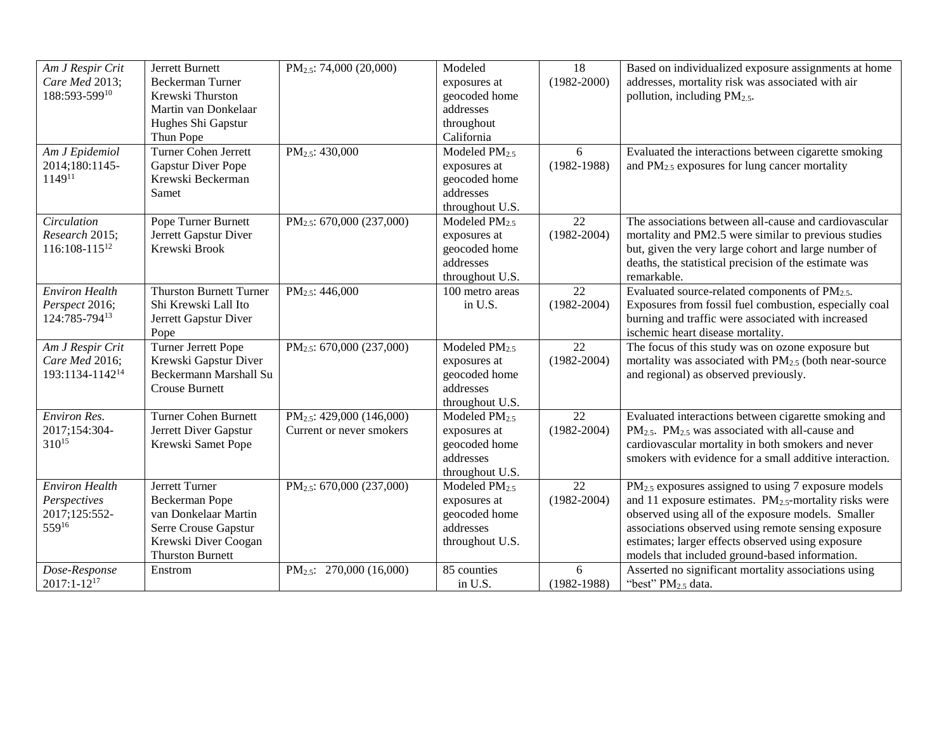| Am J Respir Crit            | Jerrett Burnett                | PM <sub>2.5</sub> : 74,000 (20,000)   | Modeled                   | 18              | Based on individualized exposure assignments at home                    |
|-----------------------------|--------------------------------|---------------------------------------|---------------------------|-----------------|-------------------------------------------------------------------------|
| Care Med 2013;              | <b>Beckerman Turner</b>        |                                       | exposures at              | $(1982 - 2000)$ | addresses, mortality risk was associated with air                       |
| 188:593-59910               | Krewski Thurston               |                                       | geocoded home             |                 | pollution, including $PM_{2.5}$ .                                       |
|                             | Martin van Donkelaar           |                                       | addresses                 |                 |                                                                         |
|                             | Hughes Shi Gapstur             |                                       | throughout                |                 |                                                                         |
|                             | Thun Pope                      |                                       | California                |                 |                                                                         |
| Am J Epidemiol              | Turner Cohen Jerrett           | PM <sub>2.5</sub> : 430,000           | Modeled $PM2.5$           | 6               | Evaluated the interactions between cigarette smoking                    |
| 2014;180:1145-              | <b>Gapstur Diver Pope</b>      |                                       | exposures at              | $(1982 - 1988)$ | and PM <sub>2.5</sub> exposures for lung cancer mortality               |
| $1149^{11}$                 | Krewski Beckerman              |                                       | geocoded home             |                 |                                                                         |
|                             | Samet                          |                                       | addresses                 |                 |                                                                         |
|                             |                                |                                       | throughout U.S.           |                 |                                                                         |
| Circulation                 | Pope Turner Burnett            | PM <sub>2.5</sub> : 670,000 (237,000) | Modeled PM <sub>2.5</sub> | $\overline{22}$ | The associations between all-cause and cardiovascular                   |
| Research 2015;              | Jerrett Gapstur Diver          |                                       | exposures at              | $(1982 - 2004)$ | mortality and PM2.5 were similar to previous studies                    |
| $116:108-115^{12}$          | Krewski Brook                  |                                       | geocoded home             |                 | but, given the very large cohort and large number of                    |
|                             |                                |                                       | addresses                 |                 | deaths, the statistical precision of the estimate was                   |
|                             |                                |                                       | throughout U.S.           |                 | remarkable.                                                             |
| <b>Environ Health</b>       | <b>Thurston Burnett Turner</b> | PM <sub>2.5</sub> : 446,000           | 100 metro areas           | 22              | Evaluated source-related components of PM <sub>2.5</sub> .              |
| Perspect 2016;              | Shi Krewski Lall Ito           |                                       | in U.S.                   | $(1982 - 2004)$ | Exposures from fossil fuel combustion, especially coal                  |
| 124:785-79413               |                                |                                       |                           |                 | burning and traffic were associated with increased                      |
|                             | Jerrett Gapstur Diver          |                                       |                           |                 | ischemic heart disease mortality.                                       |
|                             | Pope                           |                                       |                           | $\overline{22}$ |                                                                         |
| Am J Respir Crit            | Turner Jerrett Pope            | PM <sub>2.5</sub> : 670,000 (237,000) | Modeled PM <sub>2.5</sub> |                 | The focus of this study was on ozone exposure but                       |
| Care Med 2016;              | Krewski Gapstur Diver          |                                       | exposures at              | $(1982 - 2004)$ | mortality was associated with $PM_{2.5}$ (both near-source              |
| 193:1134-1142 <sup>14</sup> | Beckermann Marshall Su         |                                       | geocoded home             |                 | and regional) as observed previously.                                   |
|                             | <b>Crouse Burnett</b>          |                                       | addresses                 |                 |                                                                         |
|                             |                                |                                       | throughout U.S.           |                 |                                                                         |
| <b>Environ Res.</b>         | <b>Turner Cohen Burnett</b>    | $PM_{2.5}$ : 429,000 (146,000)        | Modeled $PM2.5$           | 22              | Evaluated interactions between cigarette smoking and                    |
| 2017;154:304-               | Jerrett Diver Gapstur          | Current or never smokers              | exposures at              | $(1982 - 2004)$ | PM <sub>2.5</sub> . PM <sub>2.5</sub> was associated with all-cause and |
| $310^{15}$                  | Krewski Samet Pope             |                                       | geocoded home             |                 | cardiovascular mortality in both smokers and never                      |
|                             |                                |                                       | addresses                 |                 | smokers with evidence for a small additive interaction.                 |
|                             |                                |                                       | throughout U.S.           |                 |                                                                         |
| <b>Environ Health</b>       | Jerrett Turner                 | PM <sub>2.5</sub> : 670,000 (237,000) | Modeled $PM2.5$           | 22              | PM <sub>2.5</sub> exposures assigned to using 7 exposure models         |
| Perspectives                | <b>Beckerman Pope</b>          |                                       | exposures at              | $(1982 - 2004)$ | and 11 exposure estimates. $PM_{2.5}$ -mortality risks were             |
| 2017;125:552-               | van Donkelaar Martin           |                                       | geocoded home             |                 | observed using all of the exposure models. Smaller                      |
| 55916                       | Serre Crouse Gapstur           |                                       | addresses                 |                 | associations observed using remote sensing exposure                     |
|                             | Krewski Diver Coogan           |                                       | throughout U.S.           |                 | estimates; larger effects observed using exposure                       |
|                             | <b>Thurston Burnett</b>        |                                       |                           |                 | models that included ground-based information.                          |
| Dose-Response               | Enstrom                        | PM <sub>2.5</sub> : 270,000 (16,000)  | 85 counties               | 6               | Asserted no significant mortality associations using                    |
| $2017:1 - 1217$             |                                |                                       | in U.S.                   | $(1982 - 1988)$ | "best" $PM_{2.5}$ data.                                                 |